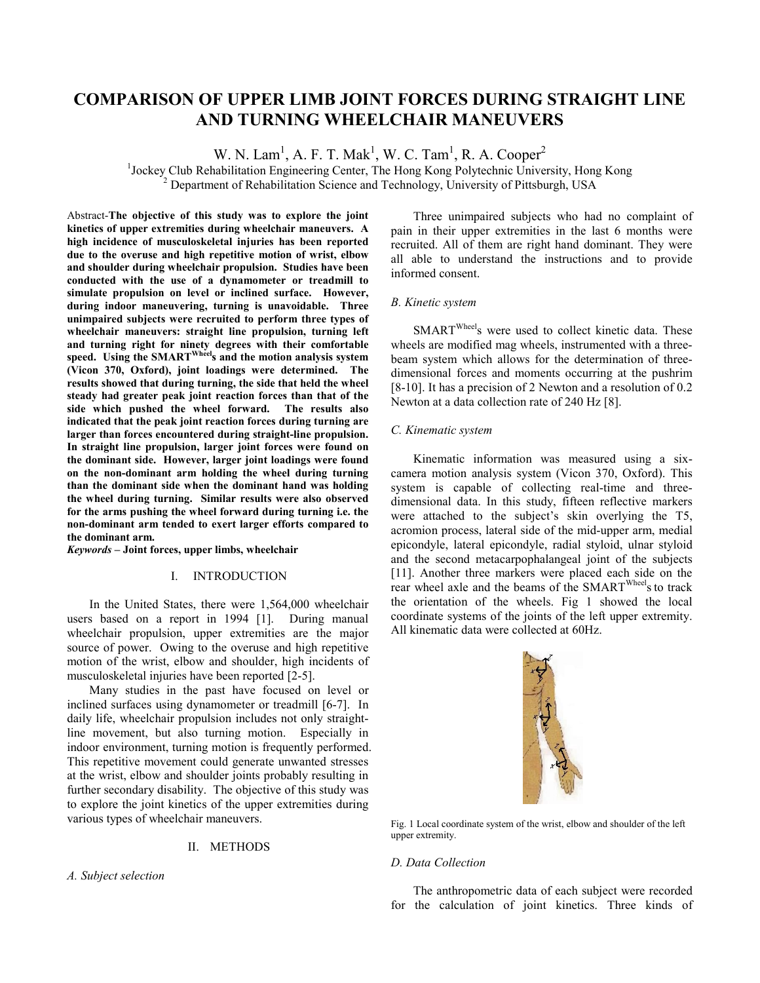# **COMPARISON OF UPPER LIMB JOINT FORCES DURING STRAIGHT LINE AND TURNING WHEELCHAIR MANEUVERS**

W. N. Lam<sup>1</sup>, A. F. T. Mak<sup>1</sup>, W. C. Tam<sup>1</sup>, R. A. Cooper<sup>2</sup>

<sup>1</sup> Jockey Club Rehabilitation Engineering Center, The Hong Kong Polytechnic University, Hong Kong  $\frac{2}{3}$  Department of Rehabilitation Science and Technology, University of Bittsburgh USA  $^{2}$  Department of Rehabilitation Science and Technology, University of Pittsburgh, USA

Abstract-**The objective of this study was to explore the joint kinetics of upper extremities during wheelchair maneuvers. A high incidence of musculoskeletal injuries has been reported due to the overuse and high repetitive motion of wrist, elbow and shoulder during wheelchair propulsion. Studies have been conducted with the use of a dynamometer or treadmill to simulate propulsion on level or inclined surface. However, during indoor maneuvering, turning is unavoidable. Three unimpaired subjects were recruited to perform three types of wheelchair maneuvers: straight line propulsion, turning left and turning right for ninety degrees with their comfortable speed. Using the SMARTWheels and the motion analysis system (Vicon 370, Oxford), joint loadings were determined. The results showed that during turning, the side that held the wheel steady had greater peak joint reaction forces than that of the side which pushed the wheel forward. The results also indicated that the peak joint reaction forces during turning are larger than forces encountered during straight-line propulsion. In straight line propulsion, larger joint forces were found on the dominant side. However, larger joint loadings were found on the non-dominant arm holding the wheel during turning than the dominant side when the dominant hand was holding the wheel during turning. Similar results were also observed for the arms pushing the wheel forward during turning i.e. the non-dominant arm tended to exert larger efforts compared to the dominant arm.** 

*Keywords* **– Joint forces, upper limbs, wheelchair** 

## I. INTRODUCTION

In the United States, there were 1,564,000 wheelchair users based on a report in 1994 [1]. During manual wheelchair propulsion, upper extremities are the major source of power. Owing to the overuse and high repetitive motion of the wrist, elbow and shoulder, high incidents of musculoskeletal injuries have been reported [2-5].

Many studies in the past have focused on level or inclined surfaces using dynamometer or treadmill [6-7]. In daily life, wheelchair propulsion includes not only straightline movement, but also turning motion. Especially in indoor environment, turning motion is frequently performed. This repetitive movement could generate unwanted stresses at the wrist, elbow and shoulder joints probably resulting in further secondary disability. The objective of this study was to explore the joint kinetics of the upper extremities during various types of wheelchair maneuvers.

## II. METHODS

*A. Subject selection* 

Three unimpaired subjects who had no complaint of pain in their upper extremities in the last 6 months were recruited. All of them are right hand dominant. They were all able to understand the instructions and to provide informed consent.

## *B. Kinetic system*

SMART<sup>Wheel</sup>s were used to collect kinetic data. These wheels are modified mag wheels, instrumented with a threebeam system which allows for the determination of threedimensional forces and moments occurring at the pushrim [8-10]. It has a precision of 2 Newton and a resolution of 0.2 Newton at a data collection rate of 240 Hz [8].

## *C. Kinematic system*

Kinematic information was measured using a sixcamera motion analysis system (Vicon 370, Oxford). This system is capable of collecting real-time and threedimensional data. In this study, fifteen reflective markers were attached to the subject's skin overlying the T5, acromion process, lateral side of the mid-upper arm, medial epicondyle, lateral epicondyle, radial styloid, ulnar styloid and the second metacarpophalangeal joint of the subjects [11]. Another three markers were placed each side on the rear wheel axle and the beams of the SMART<sup>Wheel</sup>s to track the orientation of the wheels. Fig 1 showed the local coordinate systems of the joints of the left upper extremity. All kinematic data were collected at 60Hz.



Fig. 1 Local coordinate system of the wrist, elbow and shoulder of the left upper extremity.

## *D. Data Collection*

The anthropometric data of each subject were recorded for the calculation of joint kinetics. Three kinds of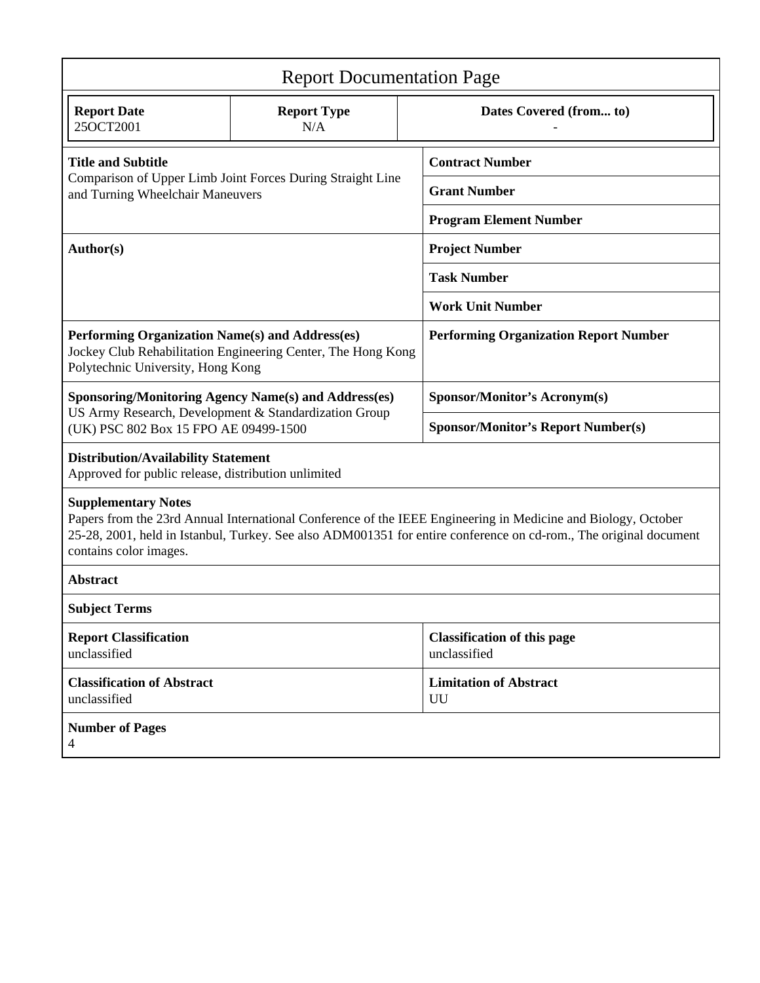| <b>Report Documentation Page</b>                                                                                                                                                                                                                                                           |                                                             |                                                    |                                           |  |  |  |
|--------------------------------------------------------------------------------------------------------------------------------------------------------------------------------------------------------------------------------------------------------------------------------------------|-------------------------------------------------------------|----------------------------------------------------|-------------------------------------------|--|--|--|
| <b>Report Date</b><br>25OCT2001                                                                                                                                                                                                                                                            | <b>Report Type</b><br>N/A                                   |                                                    | Dates Covered (from to)                   |  |  |  |
| <b>Title and Subtitle</b><br>Comparison of Upper Limb Joint Forces During Straight Line<br>and Turning Wheelchair Maneuvers                                                                                                                                                                |                                                             | <b>Contract Number</b>                             |                                           |  |  |  |
|                                                                                                                                                                                                                                                                                            |                                                             | <b>Grant Number</b>                                |                                           |  |  |  |
|                                                                                                                                                                                                                                                                                            |                                                             | <b>Program Element Number</b>                      |                                           |  |  |  |
| Author(s)                                                                                                                                                                                                                                                                                  |                                                             | <b>Project Number</b>                              |                                           |  |  |  |
|                                                                                                                                                                                                                                                                                            |                                                             | <b>Task Number</b>                                 |                                           |  |  |  |
|                                                                                                                                                                                                                                                                                            |                                                             | <b>Work Unit Number</b>                            |                                           |  |  |  |
| Performing Organization Name(s) and Address(es)<br>Jockey Club Rehabilitation Engineering Center, The Hong Kong<br>Polytechnic University, Hong Kong                                                                                                                                       |                                                             | <b>Performing Organization Report Number</b>       |                                           |  |  |  |
|                                                                                                                                                                                                                                                                                            | <b>Sponsoring/Monitoring Agency Name(s) and Address(es)</b> |                                                    | <b>Sponsor/Monitor's Acronym(s)</b>       |  |  |  |
| US Army Research, Development & Standardization Group<br>(UK) PSC 802 Box 15 FPO AE 09499-1500                                                                                                                                                                                             |                                                             |                                                    | <b>Sponsor/Monitor's Report Number(s)</b> |  |  |  |
| <b>Distribution/Availability Statement</b><br>Approved for public release, distribution unlimited                                                                                                                                                                                          |                                                             |                                                    |                                           |  |  |  |
| <b>Supplementary Notes</b><br>Papers from the 23rd Annual International Conference of the IEEE Engineering in Medicine and Biology, October<br>25-28, 2001, held in Istanbul, Turkey. See also ADM001351 for entire conference on cd-rom., The original document<br>contains color images. |                                                             |                                                    |                                           |  |  |  |
| <b>Abstract</b>                                                                                                                                                                                                                                                                            |                                                             |                                                    |                                           |  |  |  |
| <b>Subject Terms</b>                                                                                                                                                                                                                                                                       |                                                             |                                                    |                                           |  |  |  |
| <b>Report Classification</b><br>unclassified                                                                                                                                                                                                                                               |                                                             | <b>Classification of this page</b><br>unclassified |                                           |  |  |  |
| <b>Classification of Abstract</b><br>unclassified                                                                                                                                                                                                                                          |                                                             |                                                    | <b>Limitation of Abstract</b><br>UU       |  |  |  |
| <b>Number of Pages</b><br>4                                                                                                                                                                                                                                                                |                                                             |                                                    |                                           |  |  |  |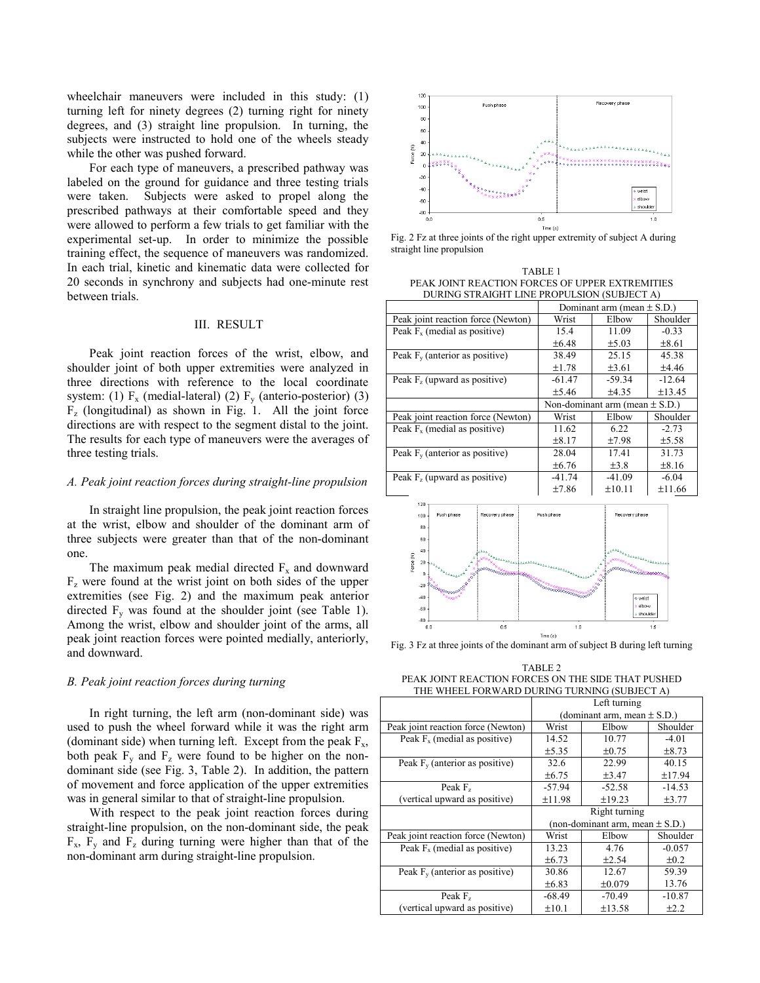wheelchair maneuvers were included in this study: (1) turning left for ninety degrees (2) turning right for ninety degrees, and (3) straight line propulsion. In turning, the subjects were instructed to hold one of the wheels steady while the other was pushed forward.

For each type of maneuvers, a prescribed pathway was labeled on the ground for guidance and three testing trials were taken. Subjects were asked to propel along the prescribed pathways at their comfortable speed and they were allowed to perform a few trials to get familiar with the experimental set-up. In order to minimize the possible training effect, the sequence of maneuvers was randomized. In each trial, kinetic and kinematic data were collected for 20 seconds in synchrony and subjects had one-minute rest between trials.

## III. RESULT

Peak joint reaction forces of the wrist, elbow, and shoulder joint of both upper extremities were analyzed in three directions with reference to the local coordinate system: (1)  $F_x$  (medial-lateral) (2)  $F_y$  (anterio-posterior) (3)  $F<sub>z</sub>$  (longitudinal) as shown in Fig. 1. All the joint force directions are with respect to the segment distal to the joint. The results for each type of maneuvers were the averages of three testing trials.

## *A. Peak joint reaction forces during straight-line propulsion*

In straight line propulsion, the peak joint reaction forces at the wrist, elbow and shoulder of the dominant arm of three subjects were greater than that of the non-dominant one.

The maximum peak medial directed  $F_x$  and downward  $F<sub>z</sub>$  were found at the wrist joint on both sides of the upper extremities (see Fig. 2) and the maximum peak anterior directed  $F_v$  was found at the shoulder joint (see Table 1). Among the wrist, elbow and shoulder joint of the arms, all peak joint reaction forces were pointed medially, anteriorly, and downward.

## *B. Peak joint reaction forces during turning*

In right turning, the left arm (non-dominant side) was used to push the wheel forward while it was the right arm (dominant side) when turning left. Except from the peak  $F_x$ , both peak  $F<sub>x</sub>$  and  $F<sub>z</sub>$  were found to be higher on the nondominant side (see Fig. 3, Table 2). In addition, the pattern of movement and force application of the upper extremities was in general similar to that of straight-line propulsion.

With respect to the peak joint reaction forces during straight-line propulsion, on the non-dominant side, the peak  $F_x$ ,  $F_y$  and  $F_z$  during turning were higher than that of the non-dominant arm during straight-line propulsion.



Fig. 2 Fz at three joints of the right upper extremity of subject A during straight line propulsion

TABLE 1 PEAK JOINT REACTION FORCES OF UPPER EXTREMITIES DURING STRAIGHT LINE PROPULSION (SUBJECT A)

|                                    | Dominant arm (mean $\pm$ S.D.)     |            |            |
|------------------------------------|------------------------------------|------------|------------|
| Peak joint reaction force (Newton) | Wrist                              | Elbow      | Shoulder   |
| Peak $Fx$ (medial as positive)     | 15.4                               | 11.09      | $-0.33$    |
|                                    | ±6.48                              | $\pm$ 5.03 | $\pm 8.61$ |
| Peak $F_v$ (anterior as positive)  | 38.49                              | 25.15      | 45.38      |
|                                    | ±1.78                              | ±3.61      | ±4.46      |
| Peak $F_z$ (upward as positive)    | $-61.47$                           | $-59.34$   | $-12.64$   |
|                                    | ±5.46                              | ±4.35      | ±13.45     |
|                                    | Non-dominant arm (mean $\pm$ S.D.) |            |            |
| Peak joint reaction force (Newton) | Wrist                              | Elbow      | Shoulder   |
| Peak $F_x$ (medial as positive)    | 11.62                              | 6.22       | $-2.73$    |
|                                    | ±8.17                              | ±7.98      | ±5.58      |
| Peak $F_v$ (anterior as positive)  | 28.04                              | 17.41      | 31.73      |
|                                    | ±6.76                              | $\pm 3.8$  | ±8.16      |
| Peak $F_z$ (upward as positive)    | $-41.74$                           | $-41.09$   | $-6.04$    |
|                                    | ±7.86                              | ±10.11     | ±11.66     |
| 120                                |                                    |            |            |



Fig. 3 Fz at three joints of the dominant arm of subject B during left turning

TABLE 2 PEAK JOINT REACTION FORCES ON THE SIDE THAT PUSHED THE WHEEL FORWARD DURING TURNING (SUBJECT A)

|                                    | Left turning  |                                     |            |  |
|------------------------------------|---------------|-------------------------------------|------------|--|
|                                    |               | (dominant arm, mean $\pm$ S.D.)     |            |  |
| Peak joint reaction force (Newton) | Wrist         | Elbow                               | Shoulder   |  |
| Peak $Fx$ (medial as positive)     | 14.52         | 10.77                               | $-4.01$    |  |
|                                    | ±5.35         | $\pm 0.75$                          | $\pm 8.73$ |  |
| Peak $F_v$ (anterior as positive)  | 32.6          | 22.99                               | 40.15      |  |
|                                    | $\pm 6.75$    | ±3.47                               | ±17.94     |  |
| Peak $Fz$                          | $-57.94$      | $-52.58$                            | $-14.53$   |  |
| (vertical upward as positive)      | ±11.98        | ±19.23                              | ±3.77      |  |
|                                    | Right turning |                                     |            |  |
|                                    |               |                                     |            |  |
|                                    |               | (non-dominant arm, mean $\pm$ S.D.) |            |  |
| Peak joint reaction force (Newton) | Wrist         | Elbow                               | Shoulder   |  |
| Peak $Fx$ (medial as positive)     | 13.23         | 4.76                                | $-0.057$   |  |
|                                    | ±6.73         | $+2.54$                             | $\pm 0.2$  |  |
| Peak $F_v$ (anterior as positive)  | 30.86         | 12.67                               | 59.39      |  |
|                                    | ±6.83         | $\pm 0.079$                         | 13.76      |  |
| Peak $Fz$                          | $-68.49$      | $-70.49$                            | $-10.87$   |  |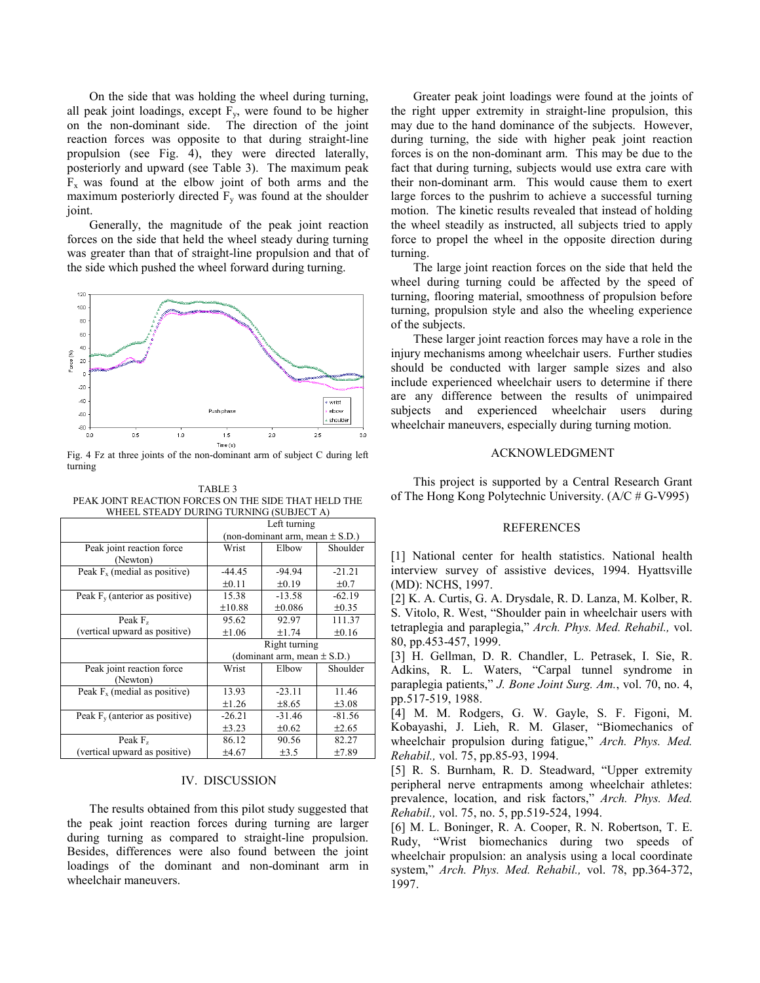On the side that was holding the wheel during turning, all peak joint loadings, except  $F_v$ , were found to be higher on the non-dominant side. The direction of the joint reaction forces was opposite to that during straight-line propulsion (see Fig. 4), they were directed laterally, posteriorly and upward (see Table 3). The maximum peak  $F_x$  was found at the elbow joint of both arms and the maximum posteriorly directed  $F_v$  was found at the shoulder joint.

Generally, the magnitude of the peak joint reaction forces on the side that held the wheel steady during turning was greater than that of straight-line propulsion and that of the side which pushed the wheel forward during turning.



Fig. 4 Fz at three joints of the non-dominant arm of subject C during left turning

TABLE 3 PEAK JOINT REACTION FORCES ON THE SIDE THAT HELD THE WHEEL STEADY DURING TURNING (SUBJECT A)

|                                   | Left turning                    |                                     |            |  |
|-----------------------------------|---------------------------------|-------------------------------------|------------|--|
|                                   |                                 | (non-dominant arm, mean $\pm$ S.D.) |            |  |
| Peak joint reaction force         | Wrist                           | Elbow                               | Shoulder   |  |
| (Newton)                          |                                 |                                     |            |  |
| Peak $F_x$ (medial as positive)   | $-44.45$                        | $-94.94$                            | $-21.21$   |  |
|                                   | $\pm 0.11$                      | $\pm 0.19$                          | $\pm 0.7$  |  |
| Peak $F_v$ (anterior as positive) | 15.38                           | $-13.58$                            | $-62.19$   |  |
|                                   | ±10.88                          | ±0.086                              | ±0.35      |  |
| Peak $Fz$                         | 95.62                           | 92.97                               | 111.37     |  |
| (vertical upward as positive)     | $\pm 1.06$                      | ±1.74                               | ±0.16      |  |
|                                   | Right turning                   |                                     |            |  |
|                                   | (dominant arm, mean $\pm$ S.D.) |                                     |            |  |
| Peak joint reaction force         | Wrist                           | Elbow                               | Shoulder   |  |
| (Newton)                          |                                 |                                     |            |  |
| Peak $F_x$ (medial as positive)   | 13.93                           | $-23.11$                            | 11.46      |  |
|                                   | $\pm 1.26$                      | $\pm 8.65$                          | $\pm 3.08$ |  |
| Peak $F_v$ (anterior as positive) | $-26.21$                        | $-31.46$                            | $-81.56$   |  |
|                                   | ±3.23                           | $\pm 0.62$                          | ±2.65      |  |
| Peak $Fz$                         | 86.12                           | 90.56                               | 82.27      |  |
| (vertical upward as positive)     | ±4.67                           | $\pm 3.5$                           | ±7.89      |  |

#### IV. DISCUSSION

The results obtained from this pilot study suggested that the peak joint reaction forces during turning are larger during turning as compared to straight-line propulsion. Besides, differences were also found between the joint loadings of the dominant and non-dominant arm in wheelchair maneuvers.

Greater peak joint loadings were found at the joints of the right upper extremity in straight-line propulsion, this may due to the hand dominance of the subjects. However, during turning, the side with higher peak joint reaction forces is on the non-dominant arm. This may be due to the fact that during turning, subjects would use extra care with their non-dominant arm. This would cause them to exert large forces to the pushrim to achieve a successful turning motion. The kinetic results revealed that instead of holding the wheel steadily as instructed, all subjects tried to apply force to propel the wheel in the opposite direction during turning.

The large joint reaction forces on the side that held the wheel during turning could be affected by the speed of turning, flooring material, smoothness of propulsion before turning, propulsion style and also the wheeling experience of the subjects.

These larger joint reaction forces may have a role in the injury mechanisms among wheelchair users. Further studies should be conducted with larger sample sizes and also include experienced wheelchair users to determine if there are any difference between the results of unimpaired subjects and experienced wheelchair users during wheelchair maneuvers, especially during turning motion.

## ACKNOWLEDGMENT

This project is supported by a Central Research Grant of The Hong Kong Polytechnic University. (A/C # G-V995)

## REFERENCES

[1] National center for health statistics. National health interview survey of assistive devices, 1994. Hyattsville (MD): NCHS, 1997.

[2] K. A. Curtis, G. A. Drysdale, R. D. Lanza, M. Kolber, R. S. Vitolo, R. West, "Shoulder pain in wheelchair users with tetraplegia and paraplegia," *Arch. Phys. Med. Rehabil.,* vol. 80, pp.453-457, 1999.

[3] H. Gellman, D. R. Chandler, L. Petrasek, I. Sie, R. Adkins, R. L. Waters, "Carpal tunnel syndrome in paraplegia patients," *J. Bone Joint Surg. Am.*, vol. 70, no. 4, pp.517-519, 1988.

[4] M. M. Rodgers, G. W. Gayle, S. F. Figoni, M. Kobayashi, J. Lieh, R. M. Glaser, "Biomechanics of wheelchair propulsion during fatigue," *Arch. Phys. Med. Rehabil.,* vol. 75, pp.85-93, 1994.

[5] R. S. Burnham, R. D. Steadward, "Upper extremity peripheral nerve entrapments among wheelchair athletes: prevalence, location, and risk factors," *Arch. Phys. Med. Rehabil.,* vol. 75, no. 5, pp.519-524, 1994.

[6] M. L. Boninger, R. A. Cooper, R. N. Robertson, T. E. Rudy, "Wrist biomechanics during two speeds of wheelchair propulsion: an analysis using a local coordinate system," *Arch. Phys. Med. Rehabil.,* vol. 78, pp.364-372, 1997.